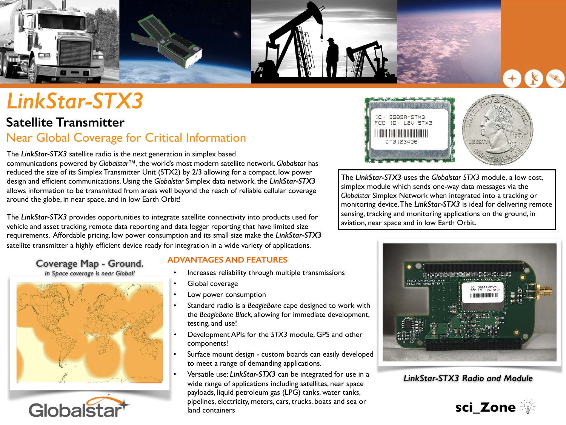

# *LinkStar-STX3*

# **Satellite Transmitter**  Near Global Coverage for Critical Information

The *LinkStar-STX3* satellite radio is the next generation in simplex based communications powered by *Globalstar™*, the world's most modern satellite network. *Globalstar* has reduced the size of its Simplex Transmitter Unit (STX2) by 2/3 allowing for a compact, low power design and efficient communications. Using the *Globalstar* Simplex data network, the *LinkStar-STX3* allows information to be transmitted from areas well beyond the reach of reliable cellular coverage around the globe, in near space, and in low Earth Orbit!

The *LinkStar-STX3* provides opportunities to integrate satellite connectivity into products used for vehicle and asset tracking, remote data reporting and data logger reporting that have limited size requirements. Affordable pricing, low power consumption and its small size make the *LinkStar-STX3* satellite transmitter a highly efficient device ready for integration in a wide variety of applications.

### **Coverage Map - Ground.**  *In Space coverage is near Global!*





# **ADVANTAGES AND FEATURES**

- Increases reliability through multiple transmissions
- Global coverage
- Low power consumption
- Standard radio is a *BeagleBone* cape designed to work with the *BeagleBone Black*, allowing for immediate development, testing, and use!
- Development APIs for the *STX3* module, GPS and other components!
- Surface mount design custom boards can easily developed to meet a range of demanding applications.
- Versatile use: *LinkStar-STX3* can be integrated for use in a wide range of applications including satellites, near space payloads, liquid petroleum gas (LPG) tanks, water tanks, pipelines, electricity, meters, cars, trucks, boats and sea or land containers



The *LinkStar-STX3* uses the *Globalstar STX3* module, a low cost, simplex module which sends one-way data messages via the *Globalstar* Simplex Network when integrated into a tracking or monitoring device. The *LinkStar-STX3* is ideal for delivering remote sensing, tracking and monitoring applications on the ground, in aviation, near space and in low Earth Orbit.



*LinkStar-STX3 Radio and Module*